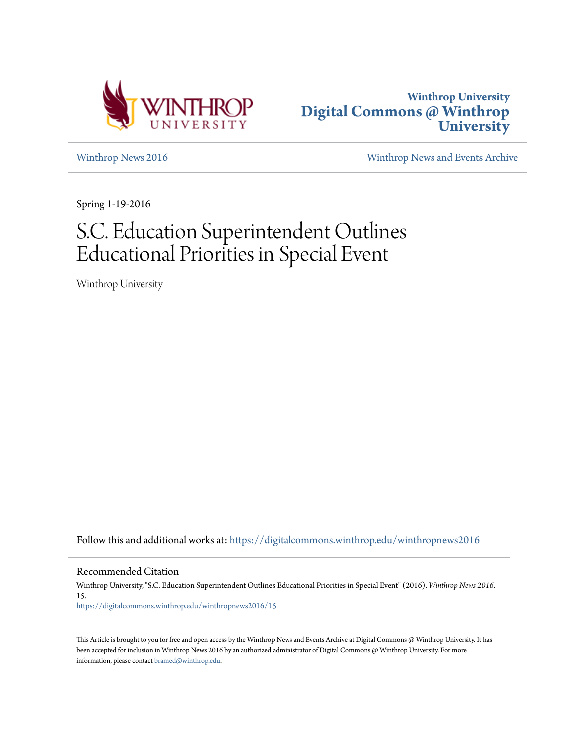



[Winthrop News 2016](https://digitalcommons.winthrop.edu/winthropnews2016?utm_source=digitalcommons.winthrop.edu%2Fwinthropnews2016%2F15&utm_medium=PDF&utm_campaign=PDFCoverPages) [Winthrop News and Events Archive](https://digitalcommons.winthrop.edu/winthropnewsarchives?utm_source=digitalcommons.winthrop.edu%2Fwinthropnews2016%2F15&utm_medium=PDF&utm_campaign=PDFCoverPages)

Spring 1-19-2016

# S.C. Education Superintendent Outlines Educational Priorities in Special Event

Winthrop University

Follow this and additional works at: [https://digitalcommons.winthrop.edu/winthropnews2016](https://digitalcommons.winthrop.edu/winthropnews2016?utm_source=digitalcommons.winthrop.edu%2Fwinthropnews2016%2F15&utm_medium=PDF&utm_campaign=PDFCoverPages)

Recommended Citation

Winthrop University, "S.C. Education Superintendent Outlines Educational Priorities in Special Event" (2016). *Winthrop News 2016*. 15. [https://digitalcommons.winthrop.edu/winthropnews2016/15](https://digitalcommons.winthrop.edu/winthropnews2016/15?utm_source=digitalcommons.winthrop.edu%2Fwinthropnews2016%2F15&utm_medium=PDF&utm_campaign=PDFCoverPages)

This Article is brought to you for free and open access by the Winthrop News and Events Archive at Digital Commons @ Winthrop University. It has been accepted for inclusion in Winthrop News 2016 by an authorized administrator of Digital Commons @ Winthrop University. For more information, please contact [bramed@winthrop.edu](mailto:bramed@winthrop.edu).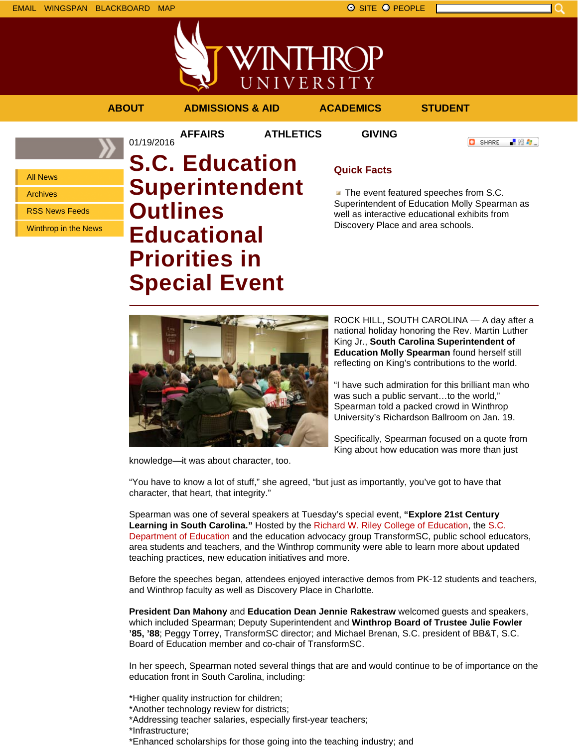

UNIVERSITY

**AFFAIRS ATHLETICS GIVING**

**ABOUT ADMISSIONS & AID ACADEMICS STUDENT**

**O** SHARE - 89 年 -

All News

Archives

RSS News Feeds

Winthrop in the News

## 01/19/2016 **S.C. Education Superintendent Outlines Educational Priorities in Special Event**

## **Quick Facts**

The event featured speeches from S.C. Superintendent of Education Molly Spearman as well as interactive educational exhibits from Discovery Place and area schools.



national holiday honoring the Rev. Martin Luther King Jr., **South Carolina Superintendent of Education Molly Spearman** found herself still reflecting on King's contributions to the world.

"I have such admiration for this brilliant man who was such a public servant...to the world." Spearman told a packed crowd in Winthrop University's Richardson Ballroom on Jan. 19.

ROCK HILL, SOUTH CAROLINA — A day after a

Specifically, Spearman focused on a quote from King about how education was more than just

knowledge—it was about character, too.

"You have to know a lot of stuff," she agreed, "but just as importantly, you've got to have that character, that heart, that integrity."

Spearman was one of several speakers at Tuesday's special event, **"Explore 21st Century Learning in South Carolina."** Hosted by the Richard W. Riley College of Education, the S.C. Department of Education and the education advocacy group TransformSC, public school educators, area students and teachers, and the Winthrop community were able to learn more about updated teaching practices, new education initiatives and more.

Before the speeches began, attendees enjoyed interactive demos from PK-12 students and teachers, and Winthrop faculty as well as Discovery Place in Charlotte.

**President Dan Mahony** and **Education Dean Jennie Rakestraw** welcomed guests and speakers, which included Spearman; Deputy Superintendent and **Winthrop Board of Trustee Julie Fowler '85, '88**; Peggy Torrey, TransformSC director; and Michael Brenan, S.C. president of BB&T, S.C. Board of Education member and co-chair of TransformSC.

In her speech, Spearman noted several things that are and would continue to be of importance on the education front in South Carolina, including:

\*Higher quality instruction for children;

- \*Another technology review for districts;
- \*Addressing teacher salaries, especially first-year teachers;
- \*Infrastructure;
- \*Enhanced scholarships for those going into the teaching industry; and